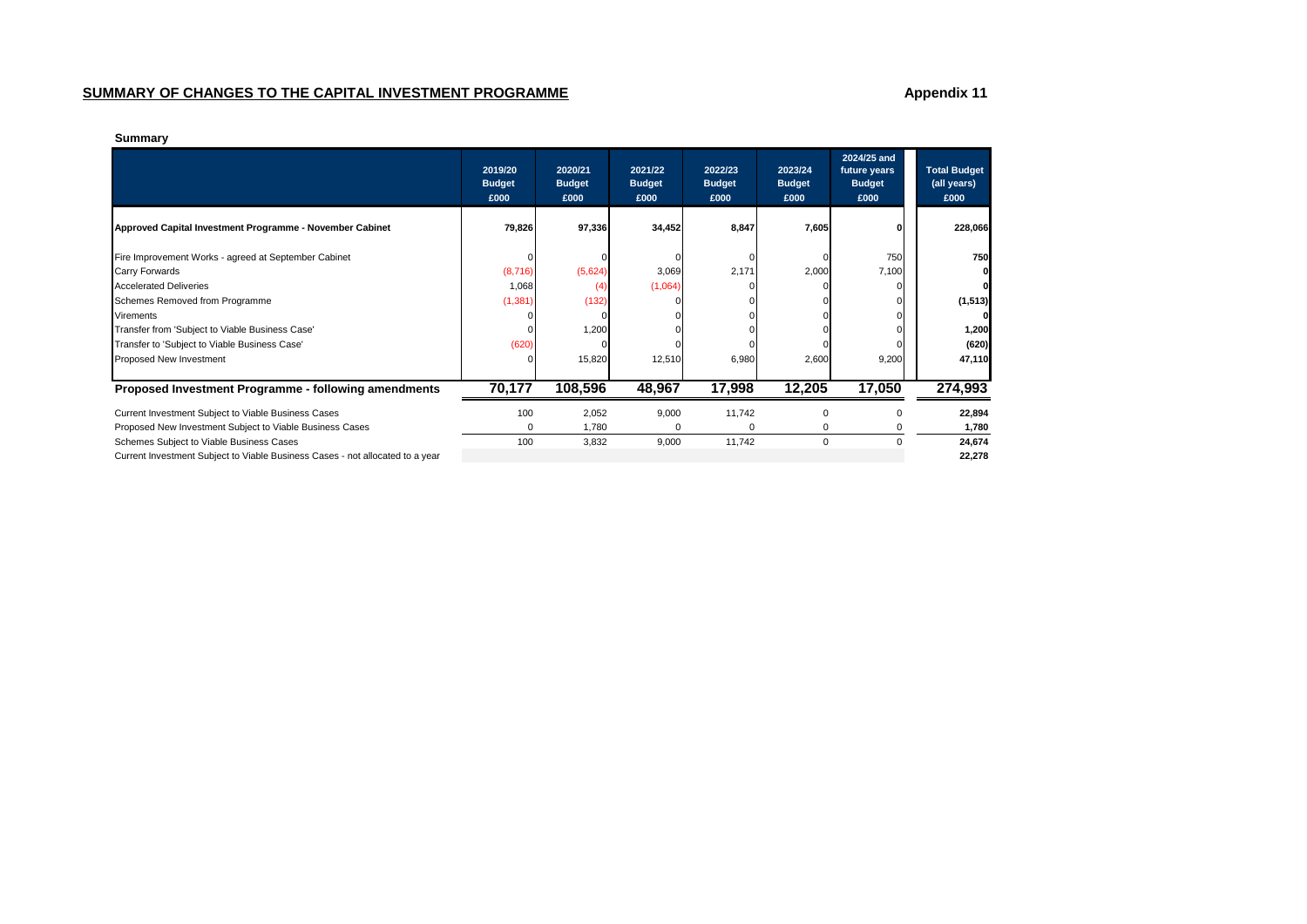# **SUMMARY OF CHANGES TO THE CAPITAL INVESTMENT PROGRAMME Appendix 11 Appendix 11**

| Summarv |
|---------|
|---------|

|                                                                               | 2019/20<br><b>Budget</b><br>£000 | 2020/21<br><b>Budget</b><br>£000 | 2021/22<br><b>Budget</b><br>£000 | 2022/23<br><b>Budget</b><br>£000 | 2023/24<br><b>Budget</b><br>£000 | 2024/25 and<br>future years<br><b>Budget</b><br>£000 | <b>Total Budget</b><br>(all years)<br>£000 |
|-------------------------------------------------------------------------------|----------------------------------|----------------------------------|----------------------------------|----------------------------------|----------------------------------|------------------------------------------------------|--------------------------------------------|
| Approved Capital Investment Programme - November Cabinet                      | 79,826                           | 97,336                           | 34,452                           | 8,847                            | 7,605                            |                                                      | 228,066                                    |
| Fire Improvement Works - agreed at September Cabinet                          |                                  |                                  |                                  |                                  |                                  | 750                                                  | <b>750</b>                                 |
| Carry Forwards                                                                | (8,716)                          | (5,624)                          | 3,069                            | 2,171                            | 2,000                            | 7,100                                                |                                            |
| <b>Accelerated Deliveries</b>                                                 | 1,068                            | (4                               | (1,064)                          |                                  |                                  |                                                      |                                            |
| Schemes Removed from Programme                                                | (1, 381)                         | (132)                            |                                  |                                  |                                  |                                                      | (1, 513)                                   |
| Virements                                                                     |                                  |                                  |                                  |                                  |                                  |                                                      | οI                                         |
| Transfer from 'Subject to Viable Business Case'                               |                                  | 1,200                            |                                  |                                  |                                  |                                                      | 1,200                                      |
| Transfer to 'Subject to Viable Business Case'                                 | (620)                            |                                  |                                  |                                  |                                  |                                                      | (620)                                      |
| Proposed New Investment                                                       |                                  | 15,820                           | 12,510                           | 6,980                            | 2,600                            | 9,200                                                | 47,110                                     |
| Proposed Investment Programme - following amendments                          | 70,177                           | 108,596                          | 48,967                           | 17,998                           | 12,205                           | 17,050                                               | 274,993                                    |
| Current Investment Subject to Viable Business Cases                           | 100                              | 2,052                            | 9,000                            | 11,742                           |                                  |                                                      | 22,894                                     |
| Proposed New Investment Subject to Viable Business Cases                      |                                  | 1,780                            | 0                                |                                  |                                  |                                                      | 1,780                                      |
| Schemes Subject to Viable Business Cases                                      | 100                              | 3,832                            | 9,000                            | 11,742                           | $\mathbf 0$                      |                                                      | 24,674                                     |
| Current Investment Subject to Viable Business Cases - not allocated to a year |                                  |                                  |                                  |                                  |                                  |                                                      | 22,278                                     |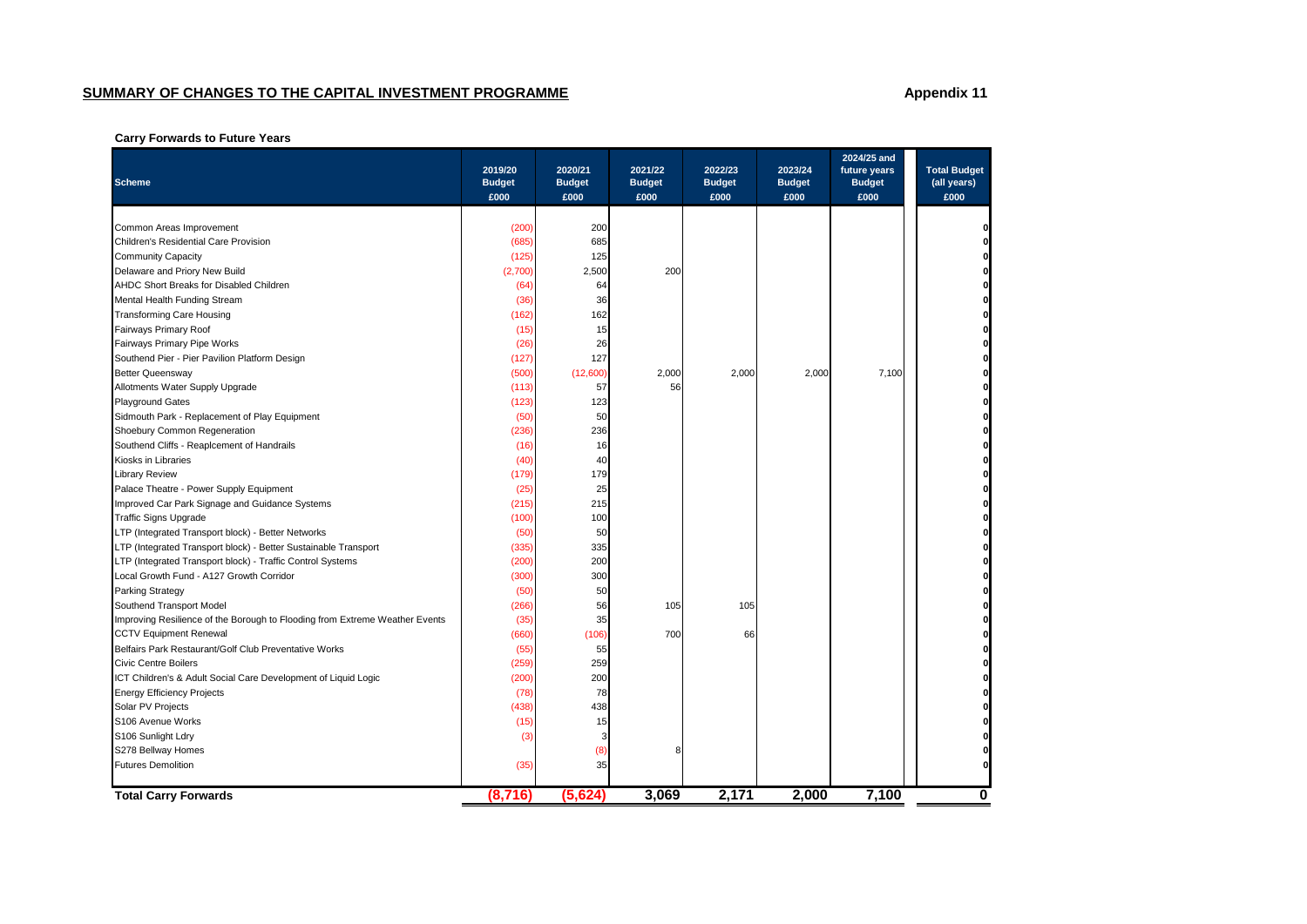# **SUMMARY OF CHANGES TO THE CAPITAL INVESTMENT PROGRAMME Appendix 11 Appendix 11**

## **Carry Forwards to Future Years**

| <b>Scheme</b>                                                               | 2019/20<br><b>Budget</b><br>£000 | 2020/21<br><b>Budget</b><br>£000 | 2021/22<br><b>Budget</b><br>£000 | 2022/23<br><b>Budget</b><br>£000 | 2023/24<br><b>Budget</b><br>£000 | 2024/25 and<br>future years<br><b>Budget</b><br>£000 | <b>Total Budget</b><br>(all years)<br>£000 |
|-----------------------------------------------------------------------------|----------------------------------|----------------------------------|----------------------------------|----------------------------------|----------------------------------|------------------------------------------------------|--------------------------------------------|
|                                                                             |                                  |                                  |                                  |                                  |                                  |                                                      |                                            |
| Common Areas Improvement<br>Children's Residential Care Provision           | (200)<br>(685)                   | 200<br>685                       |                                  |                                  |                                  |                                                      |                                            |
|                                                                             | (125)                            | 125                              |                                  |                                  |                                  |                                                      |                                            |
| Community Capacity<br>Delaware and Priory New Build                         | (2,700)                          | 2,500                            | 200                              |                                  |                                  |                                                      |                                            |
| AHDC Short Breaks for Disabled Children                                     | (64)                             | 64                               |                                  |                                  |                                  |                                                      |                                            |
| Mental Health Funding Stream                                                | (36)                             | 36                               |                                  |                                  |                                  |                                                      |                                            |
| <b>Transforming Care Housing</b>                                            | (162)                            | 162                              |                                  |                                  |                                  |                                                      |                                            |
| Fairways Primary Roof                                                       | (15)                             | 15                               |                                  |                                  |                                  |                                                      |                                            |
| Fairways Primary Pipe Works                                                 | (26)                             | 26                               |                                  |                                  |                                  |                                                      |                                            |
| Southend Pier - Pier Pavilion Platform Design                               | (127)                            | 127                              |                                  |                                  |                                  |                                                      |                                            |
| <b>Better Queensway</b>                                                     | (500)                            | (12,600)                         | 2,000                            | 2,000                            | 2,000                            | 7,100                                                |                                            |
| Allotments Water Supply Upgrade                                             | (113)                            | 57                               | 56                               |                                  |                                  |                                                      |                                            |
| <b>Playground Gates</b>                                                     | (123)                            | 123                              |                                  |                                  |                                  |                                                      |                                            |
| Sidmouth Park - Replacement of Play Equipment                               | (50)                             | 50                               |                                  |                                  |                                  |                                                      |                                            |
| Shoebury Common Regeneration                                                | (236)                            | 236                              |                                  |                                  |                                  |                                                      |                                            |
| Southend Cliffs - Reaplcement of Handrails                                  | (16)                             | 16                               |                                  |                                  |                                  |                                                      |                                            |
| Kiosks in Libraries                                                         | (40)                             | 40                               |                                  |                                  |                                  |                                                      |                                            |
| <b>Library Review</b>                                                       | (179)                            | 179                              |                                  |                                  |                                  |                                                      |                                            |
| Palace Theatre - Power Supply Equipment                                     | (25)                             | 25                               |                                  |                                  |                                  |                                                      |                                            |
| Improved Car Park Signage and Guidance Systems                              | (215)                            | 215                              |                                  |                                  |                                  |                                                      |                                            |
| <b>Traffic Signs Upgrade</b>                                                | (100)                            | 100                              |                                  |                                  |                                  |                                                      |                                            |
| LTP (Integrated Transport block) - Better Networks                          | (50)                             | 50                               |                                  |                                  |                                  |                                                      |                                            |
| LTP (Integrated Transport block) - Better Sustainable Transport             | (335)                            | 335                              |                                  |                                  |                                  |                                                      |                                            |
| LTP (Integrated Transport block) - Traffic Control Systems                  | (200)                            | 200                              |                                  |                                  |                                  |                                                      |                                            |
| Local Growth Fund - A127 Growth Corridor                                    | (300)                            | 300                              |                                  |                                  |                                  |                                                      |                                            |
| <b>Parking Strategy</b>                                                     | (50)                             | 50                               |                                  |                                  |                                  |                                                      |                                            |
| Southend Transport Model                                                    | (266)                            | 56                               | 105                              | 105                              |                                  |                                                      |                                            |
| Improving Resilience of the Borough to Flooding from Extreme Weather Events | (35)                             | 35                               |                                  |                                  |                                  |                                                      |                                            |
| <b>CCTV Equipment Renewal</b>                                               | (660)                            | (106)                            | 700                              | 66                               |                                  |                                                      |                                            |
| Belfairs Park Restaurant/Golf Club Preventative Works                       | (55)                             | 55                               |                                  |                                  |                                  |                                                      |                                            |
| <b>Civic Centre Boilers</b>                                                 | (259)                            | 259                              |                                  |                                  |                                  |                                                      |                                            |
| ICT Children's & Adult Social Care Development of Liquid Logic              | (200)                            | 200                              |                                  |                                  |                                  |                                                      |                                            |
| <b>Energy Efficiency Projects</b>                                           | (78)                             | 78                               |                                  |                                  |                                  |                                                      |                                            |
| Solar PV Projects                                                           | (438)                            | 438                              |                                  |                                  |                                  |                                                      |                                            |
| S106 Avenue Works                                                           | (15)                             | 15                               |                                  |                                  |                                  |                                                      |                                            |
| S106 Sunlight Ldry                                                          | (3)                              | 3                                |                                  |                                  |                                  |                                                      |                                            |
| S278 Bellway Homes                                                          |                                  | (8)                              | 8                                |                                  |                                  |                                                      |                                            |
| <b>Futures Demolition</b>                                                   | (35)                             | 35                               |                                  |                                  |                                  |                                                      |                                            |
|                                                                             |                                  |                                  |                                  |                                  |                                  |                                                      |                                            |
| <b>Total Carry Forwards</b>                                                 | (8,716)                          | (5,624)                          | 3,069                            | 2,171                            | 2,000                            | 7,100                                                | 0                                          |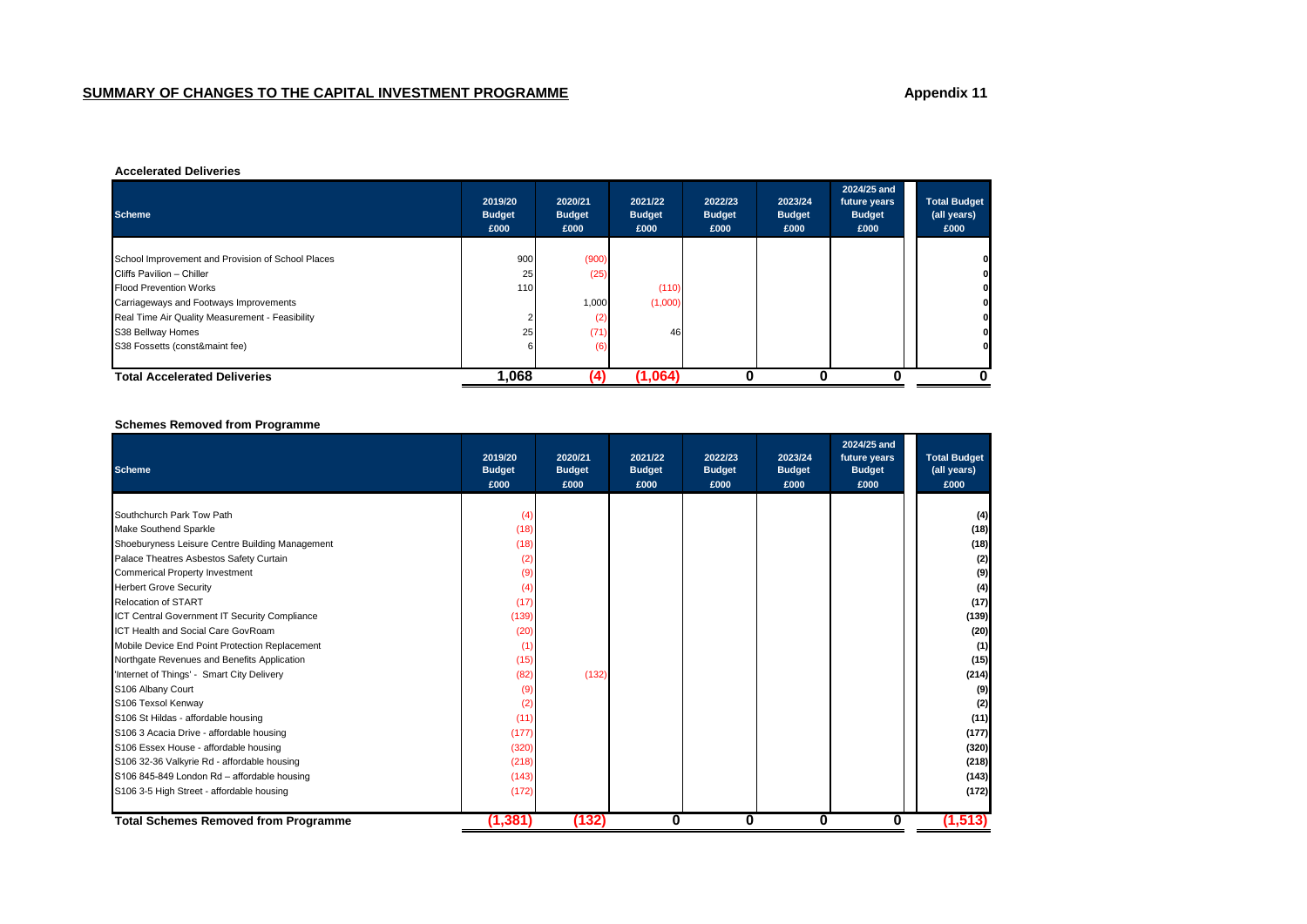#### **Accelerated Deliveries**

| <b>Scheme</b>                                     | 2019/20<br><b>Budget</b><br>£000 | 2020/21<br><b>Budget</b><br>£000 | 2021/22<br><b>Budget</b><br>£000 | 2022/23<br><b>Budget</b><br>£000 | 2023/24<br><b>Budget</b><br>£000 | 2024/25 and<br>future years<br><b>Budget</b><br>£000 | <b>Total Budget</b><br>(all years)<br>£000 |
|---------------------------------------------------|----------------------------------|----------------------------------|----------------------------------|----------------------------------|----------------------------------|------------------------------------------------------|--------------------------------------------|
|                                                   |                                  |                                  |                                  |                                  |                                  |                                                      |                                            |
| School Improvement and Provision of School Places | 900                              | (900)                            |                                  |                                  |                                  |                                                      | $\mathbf{0}$                               |
| Cliffs Pavilion - Chiller                         | 25                               | (25)                             |                                  |                                  |                                  |                                                      | οI                                         |
| <b>Flood Prevention Works</b>                     | 110                              |                                  | (110)                            |                                  |                                  |                                                      | 01                                         |
| Carriageways and Footways Improvements            |                                  | 1,000                            | (1,000)                          |                                  |                                  |                                                      | οI                                         |
| Real Time Air Quality Measurement - Feasibility   |                                  | (2)                              |                                  |                                  |                                  |                                                      | οI                                         |
| S38 Bellway Homes                                 | 25 <sub>1</sub>                  | (71)                             | 46                               |                                  |                                  |                                                      | 01                                         |
| S38 Fossetts (const&maint fee)                    |                                  | (6)                              |                                  |                                  |                                  |                                                      | οI                                         |
| <b>Total Accelerated Deliveries</b>               | 1,068                            |                                  | (1,064)                          |                                  |                                  |                                                      |                                            |

## **Schemes Removed from Programme**

| <b>Scheme</b>                                   | 2019/20<br><b>Budget</b><br>£000 | 2020/21<br><b>Budget</b><br>£000 | 2021/22<br><b>Budget</b><br>£000 | 2022/23<br><b>Budget</b><br>£000 | 2023/24<br><b>Budget</b><br>£000 | 2024/25 and<br>future years<br><b>Budget</b><br>£000 | <b>Total Budget</b><br>(all years)<br>£000 |
|-------------------------------------------------|----------------------------------|----------------------------------|----------------------------------|----------------------------------|----------------------------------|------------------------------------------------------|--------------------------------------------|
|                                                 |                                  |                                  |                                  |                                  |                                  |                                                      |                                            |
| Southchurch Park Tow Path                       | (4)                              |                                  |                                  |                                  |                                  |                                                      | (4)                                        |
| Make Southend Sparkle                           | (18)                             |                                  |                                  |                                  |                                  |                                                      | (18)                                       |
| Shoeburyness Leisure Centre Building Management | (18)                             |                                  |                                  |                                  |                                  |                                                      | (18)                                       |
| Palace Theatres Asbestos Safety Curtain         | (2)                              |                                  |                                  |                                  |                                  |                                                      | (2)                                        |
| <b>Commerical Property Investment</b>           | (9)                              |                                  |                                  |                                  |                                  |                                                      | (9)                                        |
| <b>Herbert Grove Security</b>                   | (4)                              |                                  |                                  |                                  |                                  |                                                      | (4)                                        |
| <b>Relocation of START</b>                      | (17)                             |                                  |                                  |                                  |                                  |                                                      | (17)                                       |
| ICT Central Government IT Security Compliance   | (139)                            |                                  |                                  |                                  |                                  |                                                      | (139)                                      |
| ICT Health and Social Care GovRoam              | (20)                             |                                  |                                  |                                  |                                  |                                                      | (20)                                       |
| Mobile Device End Point Protection Replacement  | (1)                              |                                  |                                  |                                  |                                  |                                                      | (1)                                        |
| Northgate Revenues and Benefits Application     | (15)                             |                                  |                                  |                                  |                                  |                                                      | (15)                                       |
| 'Internet of Things' - Smart City Delivery      | (82)                             | (132)                            |                                  |                                  |                                  |                                                      | (214)                                      |
| S106 Albany Court                               | (9)                              |                                  |                                  |                                  |                                  |                                                      | (9)                                        |
| S106 Texsol Kenway                              | (2)                              |                                  |                                  |                                  |                                  |                                                      | (2)                                        |
| S106 St Hildas - affordable housing             | (11)                             |                                  |                                  |                                  |                                  |                                                      | (11)                                       |
| S106 3 Acacia Drive - affordable housing        | (177)                            |                                  |                                  |                                  |                                  |                                                      | (177)                                      |
| S106 Essex House - affordable housing           | (320)                            |                                  |                                  |                                  |                                  |                                                      | (320)                                      |
| S106 32-36 Valkyrie Rd - affordable housing     | (218)                            |                                  |                                  |                                  |                                  |                                                      | (218)                                      |
| S106 845-849 London Rd - affordable housing     | (143)                            |                                  |                                  |                                  |                                  |                                                      | (143)                                      |
| S106 3-5 High Street - affordable housing       | (172)                            |                                  |                                  |                                  |                                  |                                                      | (172)                                      |
| <b>Total Schemes Removed from Programme</b>     | (1,381)                          | (132)                            | 0                                | 0                                | 0                                | 0                                                    | (1, 513)                                   |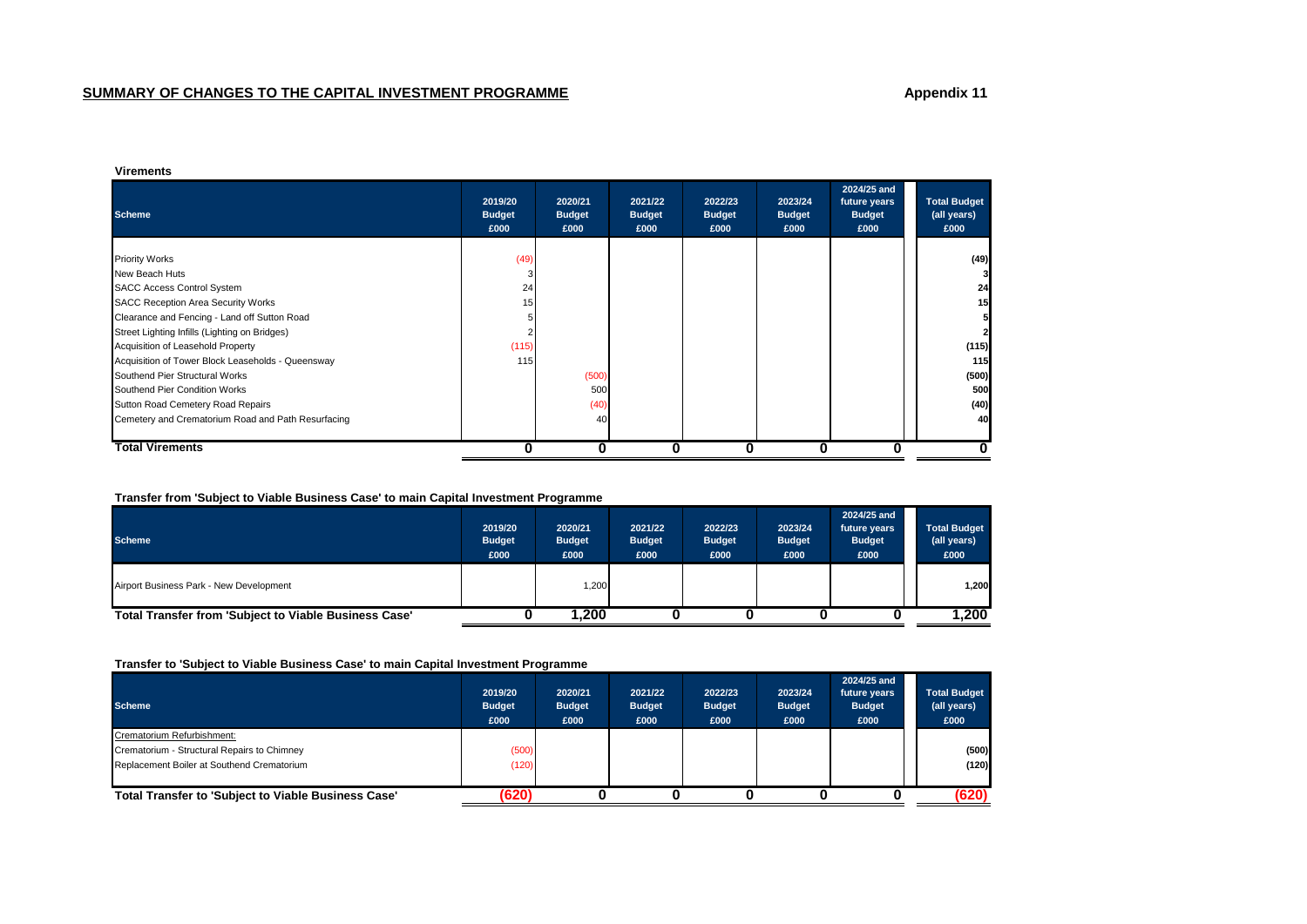#### **Virements**

| <b>Scheme</b>                                      | 2019/20<br><b>Budget</b><br>£000 | 2020/21<br><b>Budget</b><br>£000 | 2021/22<br><b>Budget</b><br>£000 | 2022/23<br><b>Budget</b><br>£000 | 2023/24<br><b>Budget</b><br>£000 | 2024/25 and<br>future years<br><b>Budget</b><br>£000 | <b>Total Budget</b><br>(all years)<br>£000 |
|----------------------------------------------------|----------------------------------|----------------------------------|----------------------------------|----------------------------------|----------------------------------|------------------------------------------------------|--------------------------------------------|
|                                                    |                                  |                                  |                                  |                                  |                                  |                                                      |                                            |
| <b>Priority Works</b>                              | (49)                             |                                  |                                  |                                  |                                  |                                                      | (49)                                       |
| New Beach Huts                                     |                                  |                                  |                                  |                                  |                                  |                                                      |                                            |
| <b>SACC Access Control System</b>                  | 24                               |                                  |                                  |                                  |                                  |                                                      | 24                                         |
| <b>SACC Reception Area Security Works</b>          | 15                               |                                  |                                  |                                  |                                  |                                                      | 15                                         |
| Clearance and Fencing - Land off Sutton Road       |                                  |                                  |                                  |                                  |                                  |                                                      |                                            |
| Street Lighting Infills (Lighting on Bridges)      |                                  |                                  |                                  |                                  |                                  |                                                      |                                            |
| Acquisition of Leasehold Property                  | (115)                            |                                  |                                  |                                  |                                  |                                                      | (115)                                      |
| Acquisition of Tower Block Leaseholds - Queensway  | 115                              |                                  |                                  |                                  |                                  |                                                      | 115                                        |
| Southend Pier Structural Works                     |                                  | (500)                            |                                  |                                  |                                  |                                                      | (500)                                      |
| Southend Pier Condition Works                      |                                  | 500                              |                                  |                                  |                                  |                                                      | 500                                        |
| Sutton Road Cemetery Road Repairs                  |                                  | (40)                             |                                  |                                  |                                  |                                                      | (40)                                       |
| Cemetery and Crematorium Road and Path Resurfacing |                                  | 40                               |                                  |                                  |                                  |                                                      | 40                                         |
|                                                    |                                  |                                  |                                  |                                  |                                  |                                                      |                                            |
| Total Virements                                    |                                  | 0                                | 0                                | 0                                | 0                                |                                                      |                                            |

## **Transfer from 'Subject to Viable Business Case' to main Capital Investment Programme**

| <b>Scheme</b>                                         | 2019/20<br><b>Budget</b><br>£000 | 2020/21<br><b>Budget</b><br>£000 | 2021/22<br><b>Budget</b><br>£000 | 2022/23<br><b>Budget</b><br>£000 | 2023/24<br><b>Budget</b><br>£000 | 2024/25 and<br>future years<br><b>Budget</b><br>£000 | <b>Total Budget</b><br>(all years)<br>£000 |
|-------------------------------------------------------|----------------------------------|----------------------------------|----------------------------------|----------------------------------|----------------------------------|------------------------------------------------------|--------------------------------------------|
| Airport Business Park - New Development               |                                  | 1,200                            |                                  |                                  |                                  |                                                      | 1,200                                      |
| Total Transfer from 'Subject to Viable Business Case' |                                  | 1.200                            |                                  |                                  |                                  |                                                      | 1,200                                      |

### **Transfer to 'Subject to Viable Business Case' to main Capital Investment Programme**

| <b>Scheme</b>                                       | 2019/20<br><b>Budget</b><br>£000 | 2020/21<br><b>Budget</b><br>£000 | 2021/22<br><b>Budget</b><br>£000 | 2022/23<br><b>Budget</b><br>£000 | 2023/24<br><b>Budget</b><br>£000 | 2024/25 and<br>future years<br><b>Budget</b><br>£000 | <b>Total Budget</b><br>(all years)<br>£000 |
|-----------------------------------------------------|----------------------------------|----------------------------------|----------------------------------|----------------------------------|----------------------------------|------------------------------------------------------|--------------------------------------------|
| Crematorium Refurbishment:                          |                                  |                                  |                                  |                                  |                                  |                                                      |                                            |
| Crematorium - Structural Repairs to Chimney         | (500)                            |                                  |                                  |                                  |                                  |                                                      | (500)                                      |
| Replacement Boiler at Southend Crematorium          | (120)                            |                                  |                                  |                                  |                                  |                                                      | (120)                                      |
|                                                     |                                  |                                  |                                  |                                  |                                  |                                                      |                                            |
| Total Transfer to 'Subject to Viable Business Case' | '620)                            |                                  |                                  |                                  |                                  |                                                      | (620)                                      |